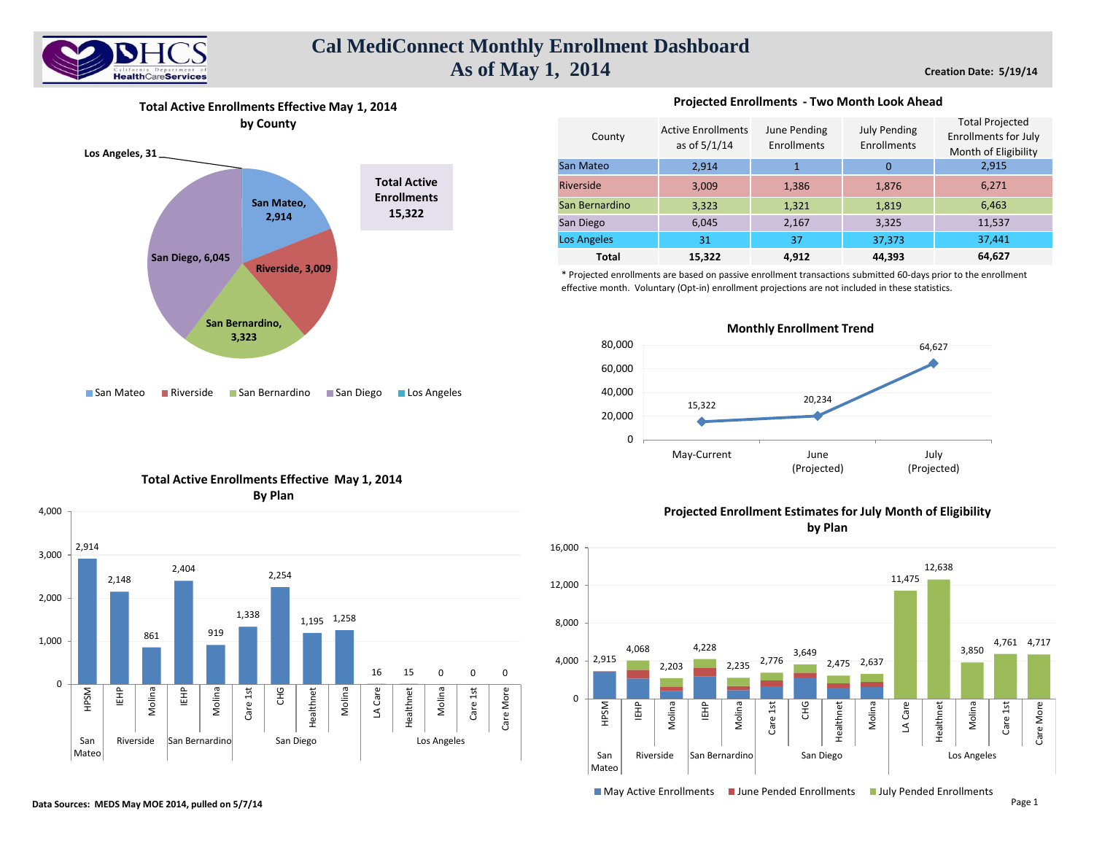

# **Cal MediConnect Monthly Enrollment Dashboard As of May 1, 2014**

**Creation Date: 5/19/14**

**Total Active Enrollments Effective May 1, 2014 by County**



#### **Projected Enrollments - Two Month Look Ahead**

| County             | <b>Active Enrollments</b><br>as of $5/1/14$ | June Pending<br>Enrollments | <b>July Pending</b><br>Enrollments | <b>Total Projected</b><br><b>Enrollments for July</b><br>Month of Eligibility |  |  |
|--------------------|---------------------------------------------|-----------------------------|------------------------------------|-------------------------------------------------------------------------------|--|--|
| San Mateo          | 2,914                                       |                             | $\Omega$                           | 2,915                                                                         |  |  |
| Riverside          | 3,009                                       | 1,386                       | 1,876                              | 6,271                                                                         |  |  |
| San Bernardino     | 3,323                                       | 1,321                       | 1,819                              | 6,463                                                                         |  |  |
| San Diego          | 6,045                                       | 2,167                       | 3,325                              | 11,537                                                                        |  |  |
| <b>Los Angeles</b> | 31                                          | 37                          | 37,373                             | 37,441                                                                        |  |  |
| <b>Total</b>       | 15,322                                      | 4.912                       | 44,393                             | 64,627                                                                        |  |  |

\* Projected enrollments are based on passive enrollment transactions submitted 60-days prior to the enrollment effective month. Voluntary (Opt-in) enrollment projections are not included in these statistics.





## **Total Active Enrollments Effective May 1, 2014 By Plan**



## **Projected Enrollment Estimates for July Month of Eligibility by Plan**



**IMay Active Enrollments III June Pended Enrollments III July Pended Enrollments**